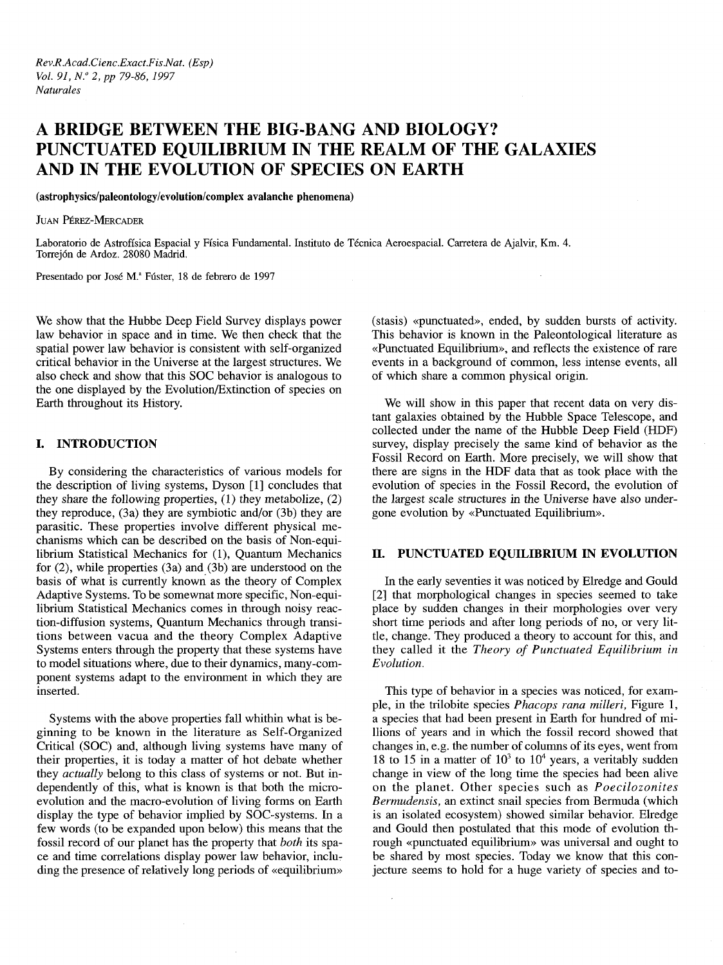# **A BRIDGE BETWEEN THE BIG-BANG AND BIOLOGY? PUNCTUATED EQUILIBRIUM IN THE REALM OF THE GALAXIES AND IN THE EVOLUTION OF SPECIES ON EARTH**

**(astrophysics/paleontology/evolution/complex avalanche phenomena)**

JUAN PÉREZ-MERCADER

Laboratorio de Astrofísica Espacial y Física Fundamental. Instituto de Técnica Aeroespacial. Carretera de Ajalvir, Km. 4. Torrejón de Ardoz. 28080 Madrid.

Presentado por José M.ª Fúster, 18 de febrero de 1997

We show that the Hubbe Deep Field Survey displays power law behavior in space and in time. We then check that the spatial power law behavior is consistent with self-organized critical behavior in the Universe at the largest structures. We also check and show that this SOC behavior is analogous to the one displayed by the Evolution/Extinction of species on Earth throughout its History.

# **I. INTRODUCTION**

By considering the characteristics of various models for the description of living systems, Dyson [1] concludes that they share the following properties, (1) they metabolize, (2) they reproduce, (3a) they are symbiotic and/or (3b) they are parasitic. These properties involve different physical mechanisms which can be described on the basis of Non-equilibrium Statistical Mechanics for (1), Quantum Mechanics for (2), while properties (3a) and (3b) are understood on the basis of what is currently known as the theory of Complex Adaptive Systems. To be somewnat more specific, Non-equilibrium Statistical Mechanics comes in through noisy reaction-diffusion systems, Quantum Mechanics through transitions between vacua and the theory Complex Adaptive Systems enters through the property that these systems have to model situations where, due to their dynamics, many-component systems adapt to the environment in which they are inserted.

Systems with the above properties fall whithin what is beginning to be known in the literature as Self-Organized Critical (SOC) and, although living systems have many of their properties, it is today a matter of hot debate whether they *actually* belong to this class of systems or not. But independently of this, what is known is that both the microevolution and the macro-evolution of living forms on Earth display the type of behavior implied by SOC-systems. In a few words (to be expanded upon below) this means that the fossil record of our planet has the property that *both* its space and time correlations display power law behavior, including the presence of relatively long periods of «equilibrium» (stasis) «punctuated», ended, by sudden bursts of activity. This behavior is known in the Paleontological literature as «Punctuated Equilibrium», and reflects the existence of rare events in a background of common, less intense events, all of which share a common physical origin.

We will show in this paper that recent data on very distant galaxies obtained by the Hubble Space Telescope, and collected under the name of the Hubble Deep Field (HDF) survey, display precisely the same kind of behavior as the Fossil Record on Earth. More precisely, we will show that there are signs in the HDF data that as took place with the evolution of species in the Fossil Record, the evolution of the largest scale structures in the Universe have also undergone evolution by «Punctuated Equilibrium».

### **II. PUNCTUATED EQUILIBRIUM IN EVOLUTION**

In the early seventies it was noticed by Elredge and Gould [2] that morphological changes in species seemed to take place by sudden changes in their morphologies over very short time periods and after long periods of no, or very little, change. They produced a theory to account for this, and they called it the *Theory of Punctuated Equilibrium in Evolution.*

This type of behavior in a species was noticed, for example, in the trilobite species *Phacops rana milleri,* Figure 1, a species that had been present in Earth for hundred of millions of years and in which the fossil record showed that changes in, e.g. the number of columns of its eyes, went from 18 to 15 in a matter of  $10^3$  to  $10^4$  years, a veritably sudden change in view of the long time the species had been alive on the planet. Other species such as *Poecilozonites Bermudensis,* an extinct snail species from Bermuda (which is an isolated ecosystem) showed similar behavior. Elredge and Gould then postulated that this mode of evolution through «punctuated equilibrium» was universal and ought to be shared by most species. Today we know that this conjecture seems to hold for a huge variety of species and to-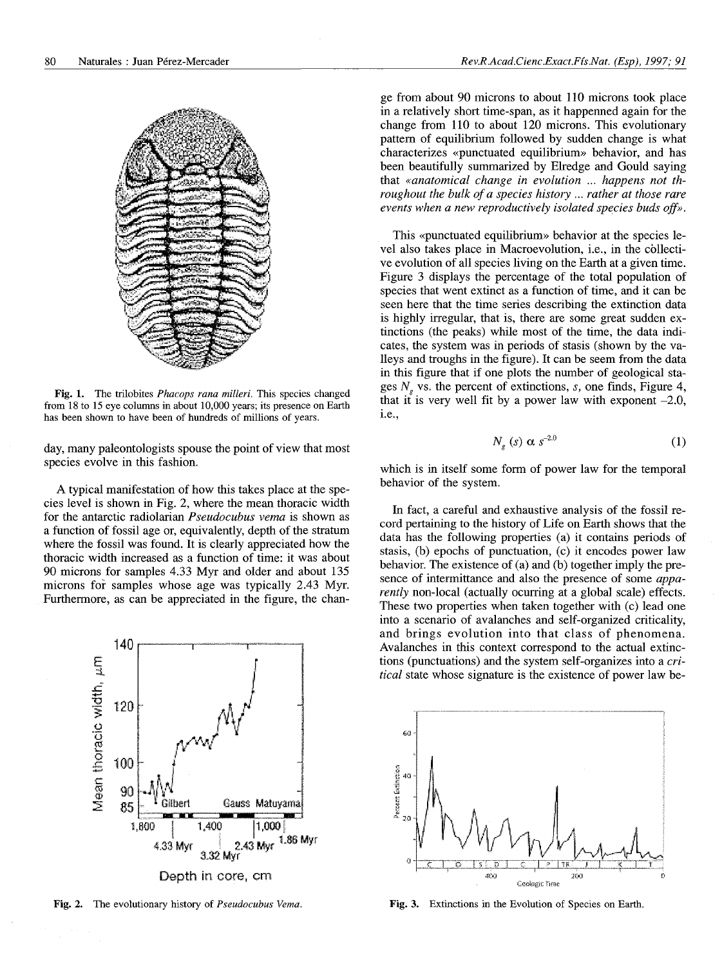

Fig. 1. The trilobites *Phacops rana milleri.* This species changed from 18 to 15 eye columns in about 10,000 years; its presence on Earth has been shown to have been of hundreds of millions of years.

day, many paleontologists spouse the point of view that most species evolve in this fashion.

A typical manifestation of how this takes place at the species level is shown in Fig. 2, where the mean thoracic width for the antarctic radiolarian *Pseudocubus verna* is shown as a function of fossil age or, equivalently, depth of the stratum where the fossil was found. It is clearly appreciated how the thoracic width increased as a function of time: it was about 90 microns for samples 4.33 Myr and older and about 135 microns for samples whose age was typically 2.43 Myr. Furthermore, as can be appreciated in the figure, the chan-



ge from about 90 microns to about 110 microns took place in a relatively short time-span, as it happenned again for the change from 110 to about 120 microns. This evolutionary pattern of equilibrium followed by sudden change is what characterizes «punctuated equilibrium» behavior, and has been beautifully summarized by Elredge and Gould saying that *«anatomical change in evolution ... happens not throughout the bulk of a species history ... rather at those rare events when a new reproductively isolated species buds off».*

This «punctuated equilibrium» behavior at the species level also takes place in Macroevolution, i.e., in the collective evolution of all species living on the Earth at a given time. Figure 3 displays the percentage of the total population of species that went extinct as a function of time, and it can be seen here that the time series describing the extinction data is highly irregular, that is, there are some great sudden extinctions (the peaks) while most of the time, the data indicates, the system was in periods of stasis (shown by the valleys and troughs in the figure). It can be seem from the data in this figure that if one plots the number of geological stages *Ng* vs. the percent of extinctions, *s,* one finds, Figure 4, that it is very well fit by a power law with exponent  $-2.0$ , i.e.,

$$
N_g \ (s) \ \alpha \ s^{-2.0} \tag{1}
$$

which is in itself some form of power law for the temporal behavior of the system.

In fact, a careful and exhaustive analysis of the fossil record pertaining to the history of Life on Earth shows that the data has the following properties (a) it contains periods of stasis, (b) epochs of punctuation, (c) it encodes power law behavior. The existence of (a) and (b) together imply the presence of intermittance and also the presence of some *apparently* non-local (actually ocurring at a global scale) effects. These two properties when taken together with (c) lead one into a scenario of avalanches and self-organized criticality, and brings evolution into that class of phenomena. Avalanches in this context correspond to the actual extinctions (punctuations) and the system self-organizes into a *critical* state whose signature is the existence of power law be-



Fig. 2. The evolutionary history of *Pseudocubus Vema*. Fig. 3. Extinctions in the Evolution of Species on Earth.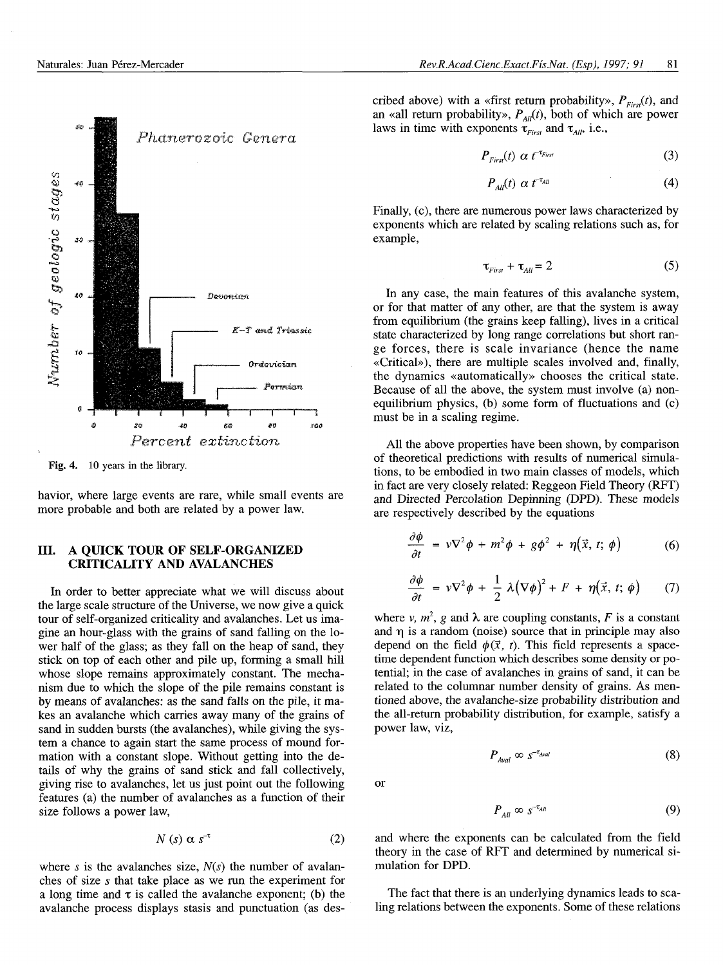



Fig. 4. 10 years in the library.

havior, where large events are rare, while small events are more probable and both are related by a power law.

# **III. A QUICK TOUR OF SELF-ORGANIZED CRITICALITY AND AVALANCHES**

In order to better appreciate what we will discuss about the large scale structure of the Universe, we now give a quick tour of self-organized criticality and avalanches. Let us imagine an hour-glass with the grains of sand falling on the lower half of the glass; as they fall on the heap of sand, they stick on top of each other and pile up, forming a small hill whose slope remains approximately constant. The mechanism due to which the slope of the pile remains constant is by means of avalanches: as the sand falls on the pile, it makes an avalanche which carries away many of the grains of sand in sudden bursts (the avalanches), while giving the system a chance to again start the same process of mound formation with a constant slope. Without getting into the details of why the grains of sand stick and fall collectively, giving rise to avalanches, let us just point out the following features (a) the number of avalanches as a function of their size follows a power law,

$$
N\left(s\right)\,\alpha\,s^{-t}\tag{2}
$$

where s is the avalanches size,  $N(s)$  the number of avalanches of size *s* that take place as we run the experiment for a long time and  $\tau$  is called the avalanche exponent; (b) the avalanche process displays stasis and punctuation (as described above) with a «first return probability»,  $P_{First}(t)$ , and an «all return probability»,  $P_{AB}(t)$ , both of which are power laws in time with exponents  $\tau_{First}$  and  $\tau_{All}$ , i.e.,

$$
P_{First}(t) \alpha t^{-\tau_{First}} \tag{3}
$$

$$
P_{\text{All}}(t) \alpha t^{-\tau_{\text{All}}} \tag{4}
$$

Finally, (c), there are numerous power laws characterized by exponents which are related by scaling relations such as, for example,

$$
\tau_{First} + \tau_{All} = 2 \tag{5}
$$

In any case, the main features of this avalanche system, or for that matter of any other, are that the system is away from equilibrium (the grains keep falling), lives in a critical state characterized by long range correlations but short range forces, there is scale invariance (hence the name «Critical»), there are multiple scales involved and, finally, the dynamics «automatically» chooses the critical state. Because of all the above, the system must involve (a) nonequilibrium physics, (b) some form of fluctuations and (c) must be in a scaling regime.

All the above properties have been shown, by comparison of theoretical predictions with results of numerical simulations, to be embodied in two main classes of models, which in fact are very closely related: Reggeon Field Theory (RFT) and Directed Percolation Depinning (DPD). These models are respectively described by the equations

$$
\frac{\partial \phi}{\partial t} = v \nabla^2 \phi + m^2 \phi + g \phi^2 + \eta (\vec{x}, t; \phi)
$$
 (6)

$$
\frac{\partial \phi}{\partial t} = v \nabla^2 \phi + \frac{1}{2} \lambda (\nabla \phi)^2 + F + \eta (\vec{x}, t; \phi) \qquad (7)
$$

where *v*,  $m^2$ , *g* and  $\lambda$  are coupling constants, *F* is a constant and  $\eta$  is a random (noise) source that in principle may also depend on the field  $\phi(\vec{x}, t)$ . This field represents a spacetime dependent function which describes some density or potential; in the case of avalanches in grains of sand, it can be related to the columnar number density of grains. As mentioned above, the avalanche-size probability distribution and the all-return probability distribution, for example, satisfy a power law, viz,

$$
P_{\text{Aval}} \infty \ \ s^{-\tau_{\text{Aval}}} \tag{8}
$$

or

$$
P_{All} \infty \ s^{-\tau_{All}} \tag{9}
$$

and where the exponents can be calculated from the field theory in the case of RFT and determined by numerical simulation for DPD.

The fact that there is an underlying dynamics leads to scaling relations between the exponents. Some of these relations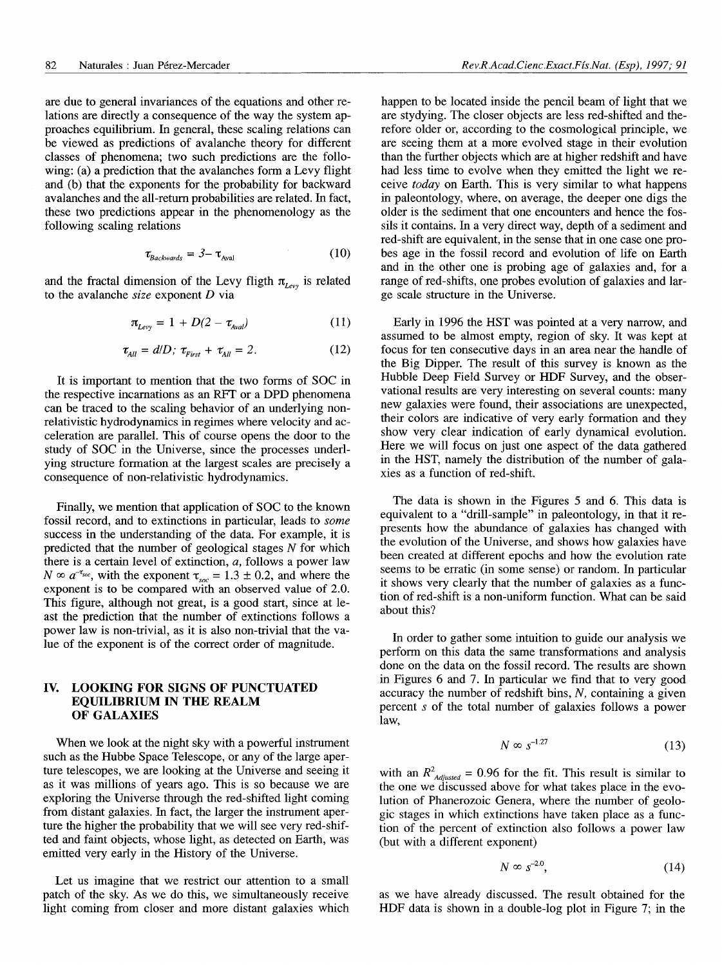are due to general invariances of the equations and other relations are directly a consequence of the way the system approaches equilibrium. In general, these scaling relations can be viewed as predictions of avalanche theory for different classes of phenomena; two such predictions are the following: (a) a prediction that the avalanches form a Levy flight and (b) that the exponents for the probability for backward avalanches and the all-return probabilities are related. In fact, these two predictions appear in the phenomenology as the following scaling relations

$$
\tau_{\text{Backwards}} = 3 - \tau_{\text{Aval}} \tag{10}
$$

and the fractal dimension of the Levy fligth  $\pi_{Levy}$  is related to the avalanche *size* exponent *D* via

$$
\pi_{Levy} = 1 + D(2 - \tau_{Aval}) \tag{11}
$$

$$
\tau_{All} = d/D; \ \tau_{First} + \tau_{All} = 2. \tag{12}
$$

It is important to mention that the two forms of SOC in the respective incarnations as an RFT or a DPD phenomena can be traced to the scaling behavior of an underlying nonrelativistic hydrodynamics in regimes where velocity and acceleration are parallel. This of course opens the door to the study of SOC in the Universe, since the processes underlying structure formation at the largest scales are precisely a consequence of non-relativistic hydrodynamics.

Finally, we mention that application of SOC to the known fossil record, and to extinctions in particular, leads to *some* success in the understanding of the data. For example, it is predicted that the number of geological stages *N* for which there is a certain level of extinction, *a,* follows a power law  $N \propto a^{-\tau_{\text{soc}}}$ , with the exponent  $\tau_{\text{soc}} = 1.3 \pm 0.2$ , and where the exponent is to be compared with an observed value of 2.0. This figure, although not great, is a good start, since at least the prediction that the number of extinctions follows a power law is non-trivial, as it is also non-trivial that the value of the exponent is of the correct order of magnitude.

## **IV. LOOKING FOR SIGNS OF PUNCTUATED EQUILIBRIUM IN THE REALM OF GALAXIES**

When we look at the night sky with a powerful instrument such as the Hubbe Space Telescope, or any of the large aperture telescopes, we are looking at the Universe and seeing it as it was millions of years ago. This is so because we are exploring the Universe through the red-shifted light coming from distant galaxies. In fact, the larger the instrument aperture the higher the probability that we will see very red-shifted and faint objects, whose light, as detected on Earth, was emitted very early in the History of the Universe.

Let us imagine that we restrict our attention to a small patch of the sky. As we do this, we simultaneously receive light coming from closer and more distant galaxies which happen to be located inside the pencil beam of light that we are stydying. The closer objects are less red-shifted and therefore older or, according to the cosmological principle, we are seeing them at a more evolved stage in their evolution than the further objects which are at higher redshift and have had less time to evolve when they emitted the light we receive *today* on Earth. This is very similar to what happens in paleontology, where, on average, the deeper one digs the older is the sediment that one encounters and hence the fossils it contains. In a very direct way, depth of a sediment and red-shift are equivalent, in the sense that in one case one probes age in the fossil record and evolution of life on Earth and in the other one is probing age of galaxies and, for a range of red-shifts, one probes evolution of galaxies and large scale structure in the Universe.

Early in 1996 the HST was pointed at a very narrow, and assumed to be almost empty, region of sky. It was kept at focus for ten consecutive days in an area near the handle of the Big Dipper. The result of this survey is known as the Hubble Deep Field Survey or HDF Survey, and the observational results are very interesting on several counts: many new galaxies were found, their associations are unexpected, their colors are indicative of very early formation and they show very clear indication of early dynamical evolution. Here we will focus on just one aspect of the data gathered in the HST, namely the distribution of the number of galaxies as a function of red-shift.

The data is shown in the Figures 5 and 6. This data is equivalent to a "drill-sample" in paleontology, in that it represents how the abundance of galaxies has changed with the evolution of the Universe, and shows how galaxies have been created at different epochs and how the evolution rate seems to be erratic (in some sense) or random. In particular it shows very clearly that the number of galaxies as a function of red-shift is a non-uniform function. What can be said about this?

In order to gather some intuition to guide our analysis we perform on this data the same transformations and analysis done on the data on the fossil record. The results are shown in Figures 6 and 7. In particular we find that to very good accuracy the number of redshift bins, *N,* containing a given percent 5 of the total number of galaxies follows a power law,

$$
N \propto s^{-1.27} \tag{13}
$$

with an  $R^2_{\text{adjusted}} = 0.96$  for the fit. This result is similar to the one we discussed above for what takes place in the evolution of Phanerozoic Genera, where the number of geologic stages in which extinctions have taken place as a function of the percent of extinction also follows a power law (but with a different exponent)

$$
N \propto s^{-2.0},\tag{14}
$$

as we have already discussed. The result obtained for the HDF data is shown in a double-log plot in Figure 7; in the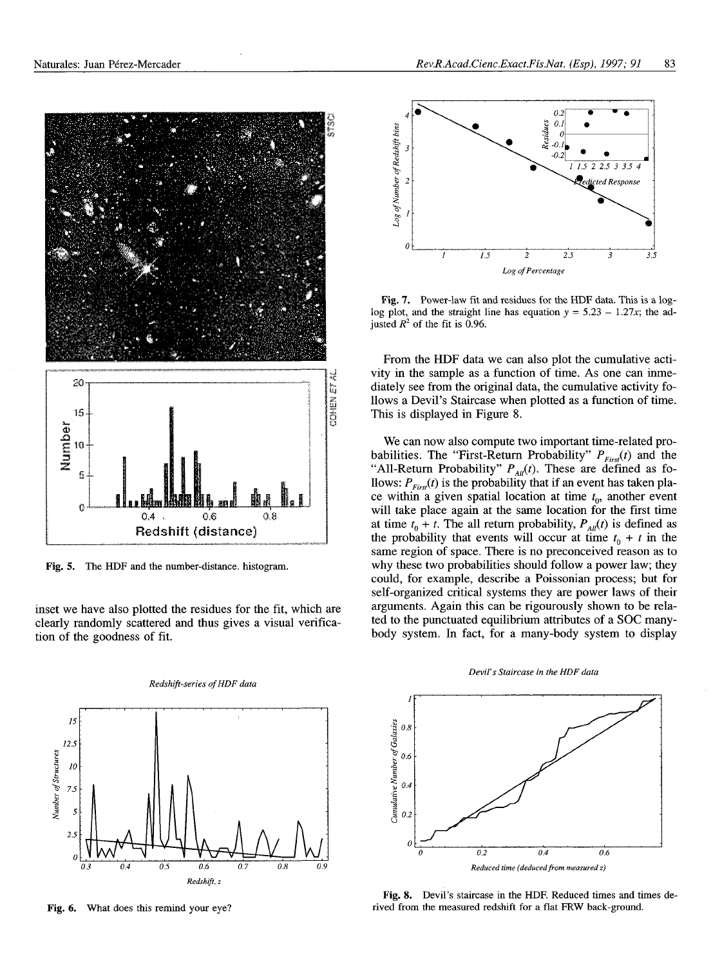

Fig. 5. The HDF and the number-distance, histogram.

inset we have also plotted the residues for the fit, which are clearly randomly scattered and thus gives a visual verification of the goodness of fit.



*Redshift-series of HDF data*

Fig. 6. What does this remind your eye?



Fig. 7. Power-law fit and residues for the HDF data. This is a loglog plot, and the straight line has equation  $y = 5.23 - 1.27x$ ; the adjusted  $R^2$  of the fit is 0.96.

From the HDF data we can also plot the cumulative activity in the sample as a function of time. As one can inmediately see from the original data, the cumulative activity follows a Devil's Staircase when plotted as a function of time. This is displayed in Figure 8.

We can now also compute two important time-related probabilities. The "First-Return Probability"  $P_{First}(t)$  and the "All-Return Probability"  $P_{\text{All}}(t)$ . These are defined as follows:  $P_{Fix}(t)$  is the probability that if an event has taken place within a given spatial location at time  $t_0$ , another event will take place again at the same location for the first time at time  $t_0 + t$ . The all return probability,  $P_{\text{All}}(t)$  is defined as the probability that events will occur at time  $t_0 + t$  in the same region of space. There is no preconceived reason as to why these two probabilities should follow a power law; they could, for example, describe a Poissonian process; but for self-organized critical systems they are power laws of their arguments. Again this can be rigourously shown to be related to the punctuated equilibrium attributes of a SOC manybody system. In fact, for a many-body system to display





Fig. 8. Devil's staircase in the HDF. Reduced times and times derived from the measured redshift for a flat FRW back-ground.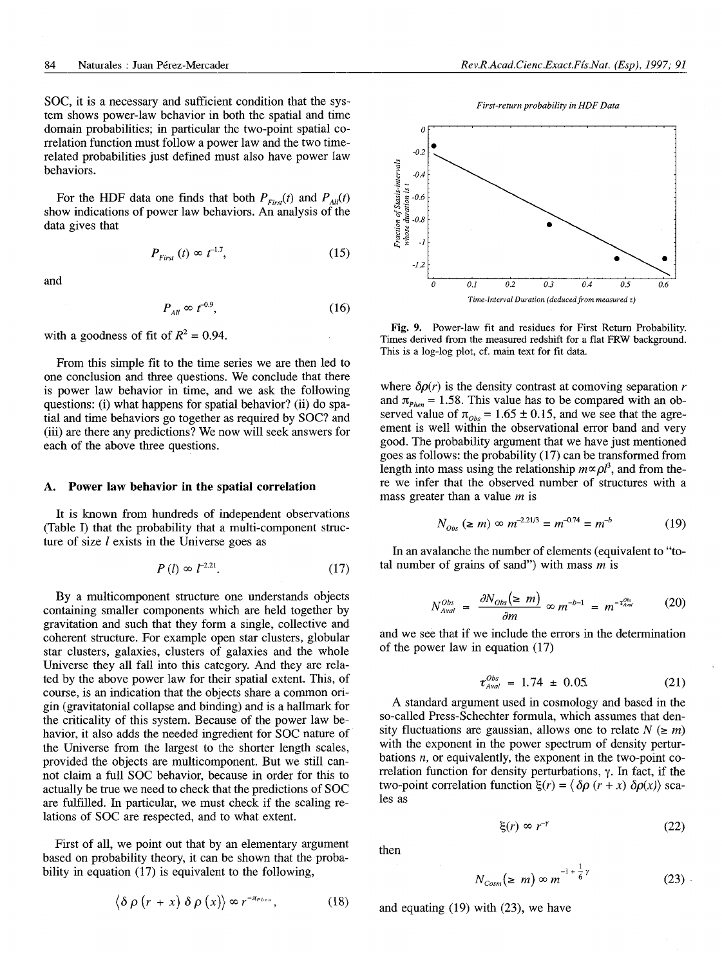SOC, it is a necessary and sufficient condition that the system shows power-law behavior in both the spatial and time domain probabilities; in particular the two-point spatial correlation function must follow a power law and the two timerelated probabilities just defined must also have power law behaviors.

For the HDF data one finds that both  $P_{First}(t)$  and  $P_{All}(t)$ show indications of power law behaviors. An analysis of the data gives that

$$
P_{First} \ (t) \propto t^{-1.7}, \tag{15}
$$

and

$$
P_{\text{All}} \approx t^{-0.9},\tag{16}
$$

with a goodness of fit of  $R^2 = 0.94$ .

From this simple fit to the time series we are then led to one conclusion and three questions. We conclude that there is power law behavior in time, and we ask the following questions: (i) what happens for spatial behavior? (ii) do spatial and time behaviors go together as required by SOC? and (iii) are there any predictions? We now will seek answers for each of the above three questions.

#### **A. Power law behavior in the spatial correlation**

It is known from hundreds of independent observations (Table I) that the probability that a multi-component structure of size  $l$  exists in the Universe goes as

$$
P(l) \propto l^{-2.21}.\tag{17}
$$

By a multicomponent structure one understands objects containing smaller components which are held together by gravitation and such that they form a single, collective and coherent structure. For example open star clusters, globular star clusters, galaxies, clusters of galaxies and the whole Universe they all fall into this category. And they are related by the above power law for their spatial extent. This, of course, is an indication that the objects share a common origin (gravitatonial collapse and binding) and is a hallmark for the criticality of this system. Because of the power law behavior, it also adds the needed ingredient for SOC nature of the Universe from the largest to the shorter length scales, provided the objects are multicomponent. But we still cannot claim a full SOC behavior, because in order for this to actually be true we need to check that the predictions of SOC are fulfilled. In particular, we must check if the scaling relations of SOC are respected, and to what extent.

First of all, we point out that by an elementary argument based on probability theory, it can be shown that the probability in equation (17) is equivalent to the following,

$$
\langle \delta \rho (r + x) \delta \rho (x) \rangle \propto r^{-\pi_{P hcn}}, \qquad (18)
$$





Fig. 9. Power-law fit and residues for First Return Probability. Times derived from the measured redshift for a flat FRW background. This is a log-log plot, cf. main text for fit data.

where  $\delta \rho(r)$  is the density contrast at comoving separation *r* and  $\pi_{Phen} = 1.58$ . This value has to be compared with an observed value of  $\pi_{obs} = 1.65 \pm 0.15$ , and we see that the agreement is well within the observational error band and very good. The probability argument that we have just mentioned goes as follows: the probability (17) can be transformed from length into mass using the relationship  $m \propto \rho l^3$ , and from there we infer that the observed number of structures with a mass greater than a value *m* is

$$
N_{Obs} \ (\ge m) \ \propto \ m^{-2.21/3} = m^{-0.74} = m^{-b} \tag{19}
$$

In an avalanche the number of elements (equivalent to "total number of grains of sand") with mass *m* is

$$
N_{Aval}^{Obs} = \frac{\partial N_{Obs}(\ge m)}{\partial m} \propto m^{-b-1} = m^{-\tau_{Aval}^{Obs}} \qquad (20)
$$

and we see that if we include the errors in the determination of the power law in equation (17)

$$
\tau_{\text{Aval}}^{\text{Obs}} = 1.74 \pm 0.05. \tag{21}
$$

A standard argument used in cosmology and based in the so-called Press-Schechter formula, which assumes that density fluctuations are gaussian, allows one to relate  $N \leq m$ ) with the exponent in the power spectrum of density perturbations *n,* or equivalently, the exponent in the two-point correlation function for density perturbations,  $\gamma$ . In fact, if the two-point correlation function  $\xi(r) = \langle \delta \rho (r + x) \delta \rho(x) \rangle$  scales as

$$
\xi(r) \propto r^{-r} \tag{22}
$$

then

$$
N_{\text{Cosm}}(\geq m) \propto m^{-1 + \frac{1}{6} \gamma}
$$
 (23)

and equating (19) with *(23),* we have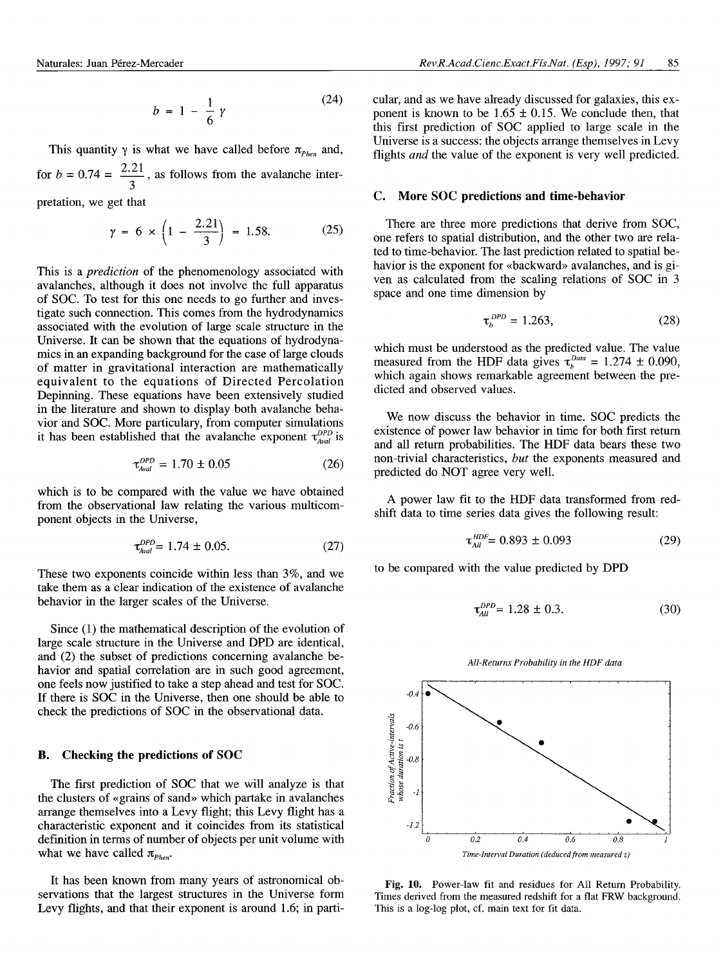$$
b = 1 - \frac{1}{6} \gamma \tag{24}
$$

This quantity  $\gamma$  is what we have called before  $\pi_{\text{Phen}}$  and, for  $b = 0.74 = \frac{2.21}{1.6}$ , as follows from the avalanche inter-

pretation, we get that

$$
\gamma = 6 \times \left(1 - \frac{2.21}{3}\right) = 1.58. \tag{25}
$$

This is a *prediction* of the phenomenology associated with avalanches, although it does not involve the full apparatus of SOC. To test for this one needs to go further and investigate such connection. This comes from the hydrodynamics associated with the evolution of large scale structure in the Universe. It can be shown that the equations of hydrodynamics in an expanding background for the case of large clouds of matter in gravitational interaction are mathematically equivalent to the equations of Directed Percolation Depinning. These equations have been extensively studied in the literature and shown to display both avalanche behavior and SOC. More particulary, from computer simulations it has been established that the avalanche exponent  $\tau_{Aval}^{DPD}$  is

$$
\tau_{\text{Aval}}^{\text{DPD}} = 1.70 \pm 0.05 \tag{26}
$$

which is to be compared with the value we have obtained from the observational law relating the various multicomponent objects in the Universe,

$$
\tau_{\text{Aval}}^{\text{DPD}} = 1.74 \pm 0.05. \tag{27}
$$

These two exponents coincide within less than 3%, and we take them as a clear indication of the existence of avalanche behavior in the larger scales of the Universe.

Since (1) the mathematical description of the evolution of large scale structure in the Universe and DPD are identical, and (2) the subset of predictions concerning avalanche behavior and spatial correlation are in such good agreement, one feels now justified to take a step ahead and test for SOC. If there is SOC in the Universe, then one should be able to check the predictions of SOC in the observational data.

#### **B. Checking the predictions of SOC**

The first prediction of SOC that we will analyze is that the clusters of «grains of sand» which partake in avalanches arrange themselves into a Levy flight; this Levy flight has a characteristic exponent and it coincides from its statistical definition in terms of number of objects per unit volume with what we have called  $\pi_{\text{Phen}}$ .

It has been known from many years of astronomical observations that the largest structures in the Universe form Levy flights, and that their exponent is around 1.6; in particular, and as we have already discussed for galaxies, this exponent is known to be  $1.65 \pm 0.15$ . We conclude then, that this first prediction of SOC applied to large scale in the Universe is a success: the objects arrange themselves in Levy flights *and* the value of the exponent is very well predicted.

#### **C. More SOC predictions and time-behavior**

There are three more predictions that derive from SOC, one refers to spatial distribution, and the other two are related to time-behavior. The last prediction related to spatial behavior is the exponent for «backward» avalanches, and is given as calculated from the scaling relations of SOC in 3 space and one time dimension by

$$
\tau_b^{PP} = 1.263,\tag{28}
$$

which must be understood as the predicted value. The value measured from the HDF data gives  $\tau_b^{Data} = 1.274 \pm 0.090$ , which again shows remarkable agreement between the predicted and observed values.

We now discuss the behavior in time. SOC predicts the existence of power law behavior in time for both first return and all return probabilities. The HDF data bears these two non-trivial characteristics, *but* the exponents measured and predicted do NOT agree very well.

A power law fit to the HDF data transformed from redshift data to time series data gives the following result:

$$
\tau_{All}^{HDF} = 0.893 \pm 0.093 \tag{29}
$$

to be compared with the value predicted by DPD

$$
\tau_{All}^{DPD} = 1.28 \pm 0.3. \tag{30}
$$



**Fig. 10.** Power-law fit and residues for All Return Probability. Times derived from the measured redshift for a flat FRW background. This is a log-log plot, cf. main text for fit data.